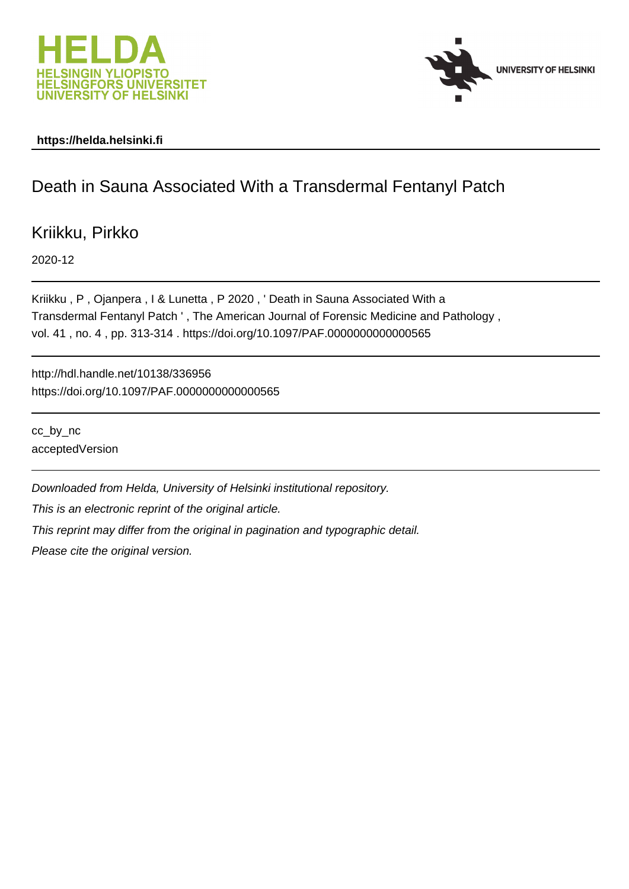



#### **https://helda.helsinki.fi**

## Death in Sauna Associated With a Transdermal Fentanyl Patch

Kriikku, Pirkko

2020-12

Kriikku , P , Ojanpera , I & Lunetta , P 2020 , ' Death in Sauna Associated With a Transdermal Fentanyl Patch ' , The American Journal of Forensic Medicine and Pathology , vol. 41 , no. 4 , pp. 313-314 . https://doi.org/10.1097/PAF.0000000000000565

http://hdl.handle.net/10138/336956 https://doi.org/10.1097/PAF.0000000000000565

cc\_by\_nc acceptedVersion

Downloaded from Helda, University of Helsinki institutional repository.

This is an electronic reprint of the original article.

This reprint may differ from the original in pagination and typographic detail.

Please cite the original version.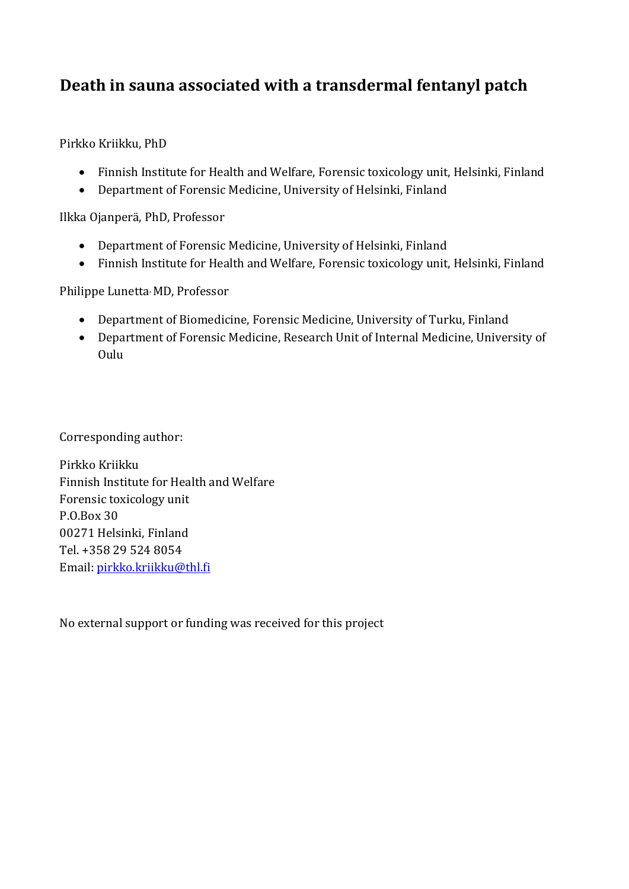# **Death in sauna associated with a transdermal fentanyl patch**

Pirkko Kriikku, PhD

- Finnish Institute for Health and Welfare, Forensic toxicology unit, Helsinki, Finland
- Department of Forensic Medicine, University of Helsinki, Finland

Ilkka Ojanperä, PhD, Professor

- Department of Forensic Medicine, University of Helsinki, Finland
- Finnish Institute for Health and Welfare, Forensic toxicology unit, Helsinki, Finland

Philippe Lunetta, MD, Professor

- Department of Biomedicine, Forensic Medicine, University of Turku, Finland
- Department of Forensic Medicine, Research Unit of Internal Medicine, University of Oulu

Corresponding author:

Pirkko Kriikku Finnish Institute for Health and Welfare Forensic toxicology unit P.O.Box 30 00271 Helsinki, Finland Tel. +358 29 524 8054 Email: [pirkko.kriikku@thl.fi](mailto:pirkko.kriikku@thl.fi)

No external support or funding was received for this project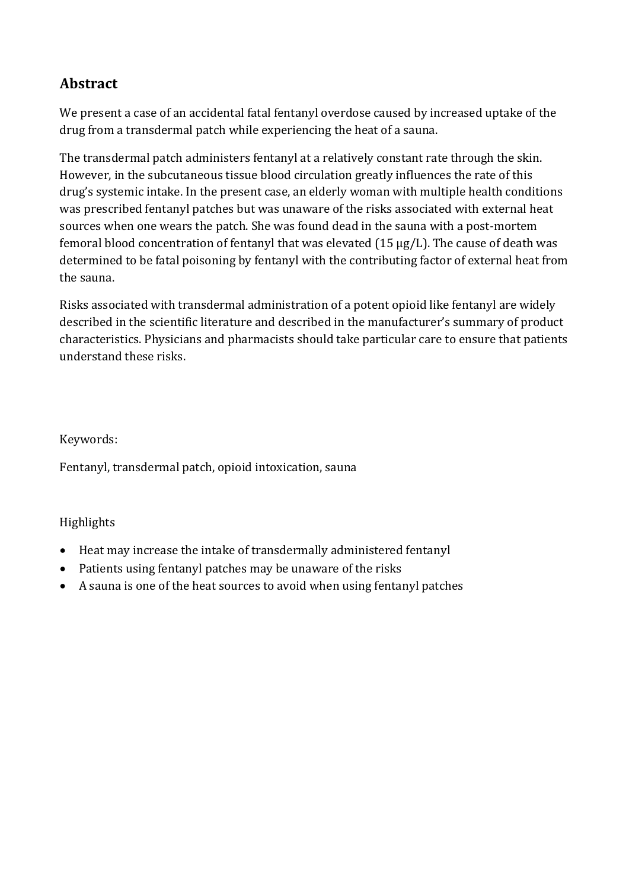## **Abstract**

We present a case of an accidental fatal fentanyl overdose caused by increased uptake of the drug from a transdermal patch while experiencing the heat of a sauna.

The transdermal patch administers fentanyl at a relatively constant rate through the skin. However, in the subcutaneous tissue blood circulation greatly influences the rate of this drug's systemic intake. In the present case, an elderly woman with multiple health conditions was prescribed fentanyl patches but was unaware of the risks associated with external heat sources when one wears the patch. She was found dead in the sauna with a post-mortem femoral blood concentration of fentanyl that was elevated (15 µg/L). The cause of death was determined to be fatal poisoning by fentanyl with the contributing factor of external heat from the sauna.

Risks associated with transdermal administration of a potent opioid like fentanyl are widely described in the scientific literature and described in the manufacturer's summary of product characteristics. Physicians and pharmacists should take particular care to ensure that patients understand these risks.

#### Keywords:

Fentanyl, transdermal patch, opioid intoxication, sauna

#### Highlights

- Heat may increase the intake of transdermally administered fentanyl
- Patients using fentanyl patches may be unaware of the risks
- A sauna is one of the heat sources to avoid when using fentanyl patches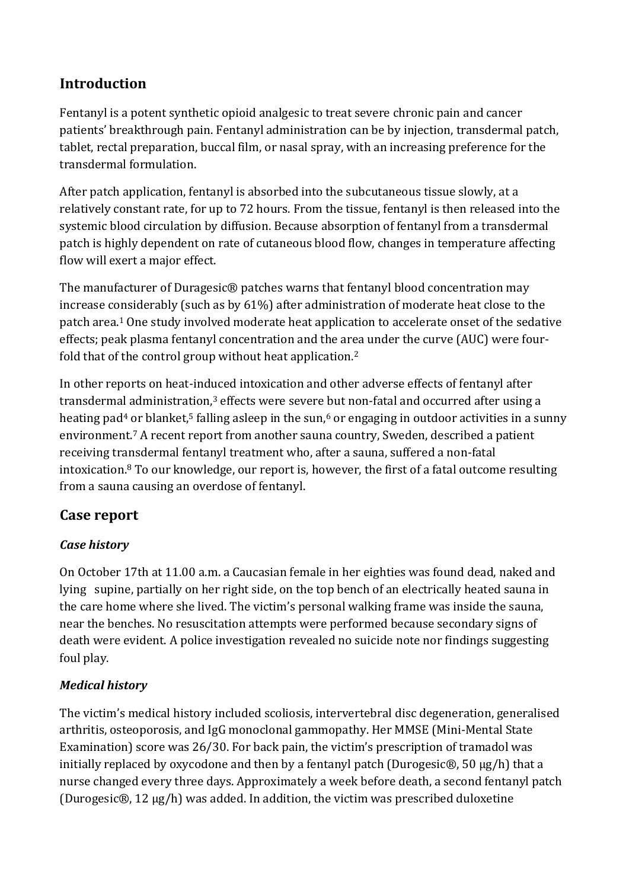### **Introduction**

Fentanyl is a potent synthetic opioid analgesic to treat severe chronic pain and cancer patients' breakthrough pain. Fentanyl administration can be by injection, transdermal patch, tablet, rectal preparation, buccal film, or nasal spray, with an increasing preference for the transdermal formulation.

After patch application, fentanyl is absorbed into the subcutaneous tissue slowly, at a relatively constant rate, for up to 72 hours. From the tissue, fentanyl is then released into the systemic blood circulation by diffusion. Because absorption of fentanyl from a transdermal patch is highly dependent on rate of cutaneous blood flow, changes in temperature affecting flow will exert a major effect.

The manufacturer of Duragesic® patches warns that fentanyl blood concentration may increase considerably (such as by 61%) after administration of moderate heat close to the patch area.<sup>1</sup> One study involved moderate heat application to accelerate onset of the sedative effects; peak plasma fentanyl concentration and the area under the curve (AUC) were fourfold that of the control group without heat application. 2

In other reports on heat-induced intoxication and other adverse effects of fentanyl after transdermal administration, <sup>3</sup> effects were severe but non-fatal and occurred after using a heating pad<sup>4</sup> or blanket,<sup>5</sup> falling asleep in the sun,<sup>6</sup> or engaging in outdoor activities in a sunny environment. <sup>7</sup> A recent report from another sauna country, Sweden, described a patient receiving transdermal fentanyl treatment who, after a sauna, suffered a non-fatal intoxication. <sup>8</sup> To our knowledge, our report is, however, the first of a fatal outcome resulting from a sauna causing an overdose of fentanyl.

### **Case report**

### *Case history*

On October 17th at 11.00 a.m. a Caucasian female in her eighties was found dead, naked and lying supine, partially on her right side, on the top bench of an electrically heated sauna in the care home where she lived. The victim's personal walking frame was inside the sauna, near the benches. No resuscitation attempts were performed because secondary signs of death were evident. A police investigation revealed no suicide note nor findings suggesting foul play.

#### *Medical history*

The victim's medical history included scoliosis, intervertebral disc degeneration, generalised arthritis, osteoporosis, and IgG monoclonal gammopathy. Her MMSE (Mini-Mental State Examination) score was 26/30. For back pain, the victim's prescription of tramadol was initially replaced by oxycodone and then by a fentanyl patch (Durogesic®, 50 µg/h) that a nurse changed every three days. Approximately a week before death, a second fentanyl patch (Durogesic®, 12 µg/h) was added. In addition, the victim was prescribed duloxetine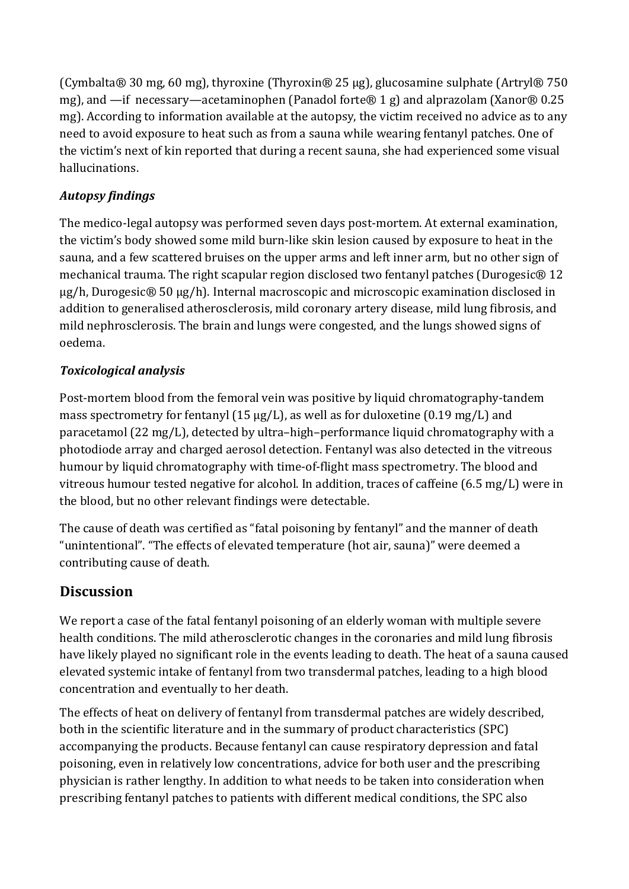(Cymbalta® 30 mg, 60 mg), thyroxine (Thyroxin® 25 µg), glucosamine sulphate (Artryl® 750 mg), and —if necessary—acetaminophen (Panadol forte® 1 g) and alprazolam (Xanor® 0.25 mg). According to information available at the autopsy, the victim received no advice as to any need to avoid exposure to heat such as from a sauna while wearing fentanyl patches. One of the victim's next of kin reported that during a recent sauna, she had experienced some visual hallucinations.

### *Autopsy findings*

The medico-legal autopsy was performed seven days post-mortem. At external examination, the victim's body showed some mild burn-like skin lesion caused by exposure to heat in the sauna, and a few scattered bruises on the upper arms and left inner arm, but no other sign of mechanical trauma. The right scapular region disclosed two fentanyl patches (Durogesic® 12 µg/h, Durogesic® 50 µg/h). Internal macroscopic and microscopic examination disclosed in addition to generalised atherosclerosis, mild coronary artery disease, mild lung fibrosis, and mild nephrosclerosis. The brain and lungs were congested, and the lungs showed signs of oedema.

### *Toxicological analysis*

Post-mortem blood from the femoral vein was positive by liquid chromatography-tandem mass spectrometry for fentanyl (15  $\mu$ g/L), as well as for duloxetine (0.19 mg/L) and paracetamol (22 mg/L), detected by ultra–high–performance liquid chromatography with a photodiode array and charged aerosol detection. Fentanyl was also detected in the vitreous humour by liquid chromatography with time-of-flight mass spectrometry. The blood and vitreous humour tested negative for alcohol. In addition, traces of caffeine (6.5 mg/L) were in the blood, but no other relevant findings were detectable.

The cause of death was certified as "fatal poisoning by fentanyl" and the manner of death "unintentional". "The effects of elevated temperature (hot air, sauna)" were deemed a contributing cause of death.

### **Discussion**

We report a case of the fatal fentanyl poisoning of an elderly woman with multiple severe health conditions. The mild atherosclerotic changes in the coronaries and mild lung fibrosis have likely played no significant role in the events leading to death. The heat of a sauna caused elevated systemic intake of fentanyl from two transdermal patches, leading to a high blood concentration and eventually to her death.

The effects of heat on delivery of fentanyl from transdermal patches are widely described, both in the scientific literature and in the summary of product characteristics (SPC) accompanying the products. Because fentanyl can cause respiratory depression and fatal poisoning, even in relatively low concentrations, advice for both user and the prescribing physician is rather lengthy. In addition to what needs to be taken into consideration when prescribing fentanyl patches to patients with different medical conditions, the SPC also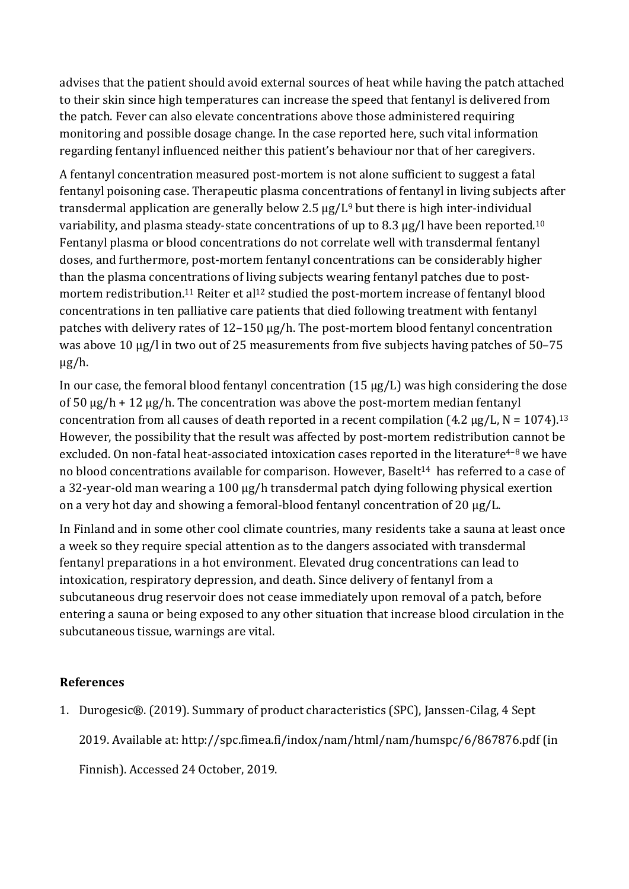advises that the patient should avoid external sources of heat while having the patch attached to their skin since high temperatures can increase the speed that fentanyl is delivered from the patch. Fever can also elevate concentrations above those administered requiring monitoring and possible dosage change. In the case reported here, such vital information regarding fentanyl influenced neither this patient's behaviour nor that of her caregivers.

A fentanyl concentration measured post-mortem is not alone sufficient to suggest a fatal fentanyl poisoning case. Therapeutic plasma concentrations of fentanyl in living subjects after transdermal application are generally below 2.5  $\mu$ g/L<sup>9</sup> but there is high inter-individual variability, and plasma steady-state concentrations of up to 8.3 µg/l have been reported.<sup>10</sup> Fentanyl plasma or blood concentrations do not correlate well with transdermal fentanyl doses, and furthermore, post-mortem fentanyl concentrations can be considerably higher than the plasma concentrations of living subjects wearing fentanyl patches due to postmortem redistribution.<sup>11</sup> Reiter et al<sup>12</sup> studied the post-mortem increase of fentanyl blood concentrations in ten palliative care patients that died following treatment with fentanyl patches with delivery rates of 12–150 μg/h. The post-mortem blood fentanyl concentration was above 10  $\mu$ g/l in two out of 25 measurements from five subjects having patches of 50–75 μg/h.

In our case, the femoral blood fentanyl concentration (15 μg/L) was high considering the dose of 50  $\mu$ g/h + 12  $\mu$ g/h. The concentration was above the post-mortem median fentanyl concentration from all causes of death reported in a recent compilation (4.2  $\mu$ g/L, N = 1074).<sup>13</sup> However, the possibility that the result was affected by post-mortem redistribution cannot be excluded. On non-fatal heat-associated intoxication cases reported in the literature<sup>4-8</sup> we have no blood concentrations available for comparison. However, Baselt<sup>14</sup> has referred to a case of a 32-year-old man wearing a 100 μg/h transdermal patch dying following physical exertion on a very hot day and showing a femoral-blood fentanyl concentration of 20 μg/L.

In Finland and in some other cool climate countries, many residents take a sauna at least once a week so they require special attention as to the dangers associated with transdermal fentanyl preparations in a hot environment. Elevated drug concentrations can lead to intoxication, respiratory depression, and death. Since delivery of fentanyl from a subcutaneous drug reservoir does not cease immediately upon removal of a patch, before entering a sauna or being exposed to any other situation that increase blood circulation in the subcutaneous tissue, warnings are vital.

#### **References**

1. Durogesic®. (2019). Summary of product characteristics (SPC), Janssen-Cilag, 4 Sept

2019. Available at: http://spc.fimea.fi/indox/nam/html/nam/humspc/6/867876.pdf (in

Finnish). Accessed 24 October, 2019.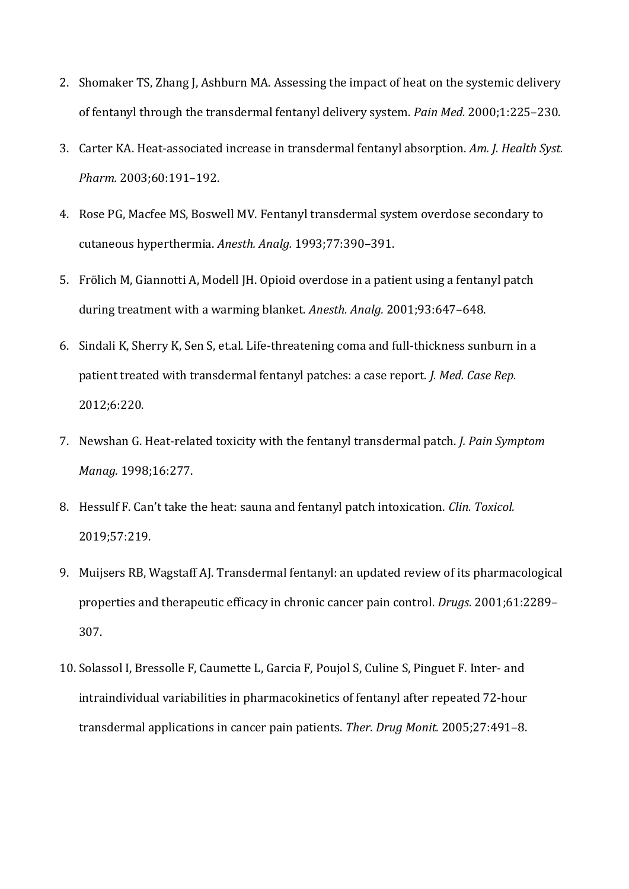- 2. Shomaker TS, Zhang J, Ashburn MA. Assessing the impact of heat on the systemic delivery of fentanyl through the transdermal fentanyl delivery system. *Pain Med.* 2000;1:225–230.
- 3. Carter KA. Heat-associated increase in transdermal fentanyl absorption. *Am. J. Health Syst. Pharm.* 2003;60:191–192.
- 4. Rose PG, Macfee MS, Boswell MV. Fentanyl transdermal system overdose secondary to cutaneous hyperthermia. *Anesth. Analg.* 1993;77:390–391.
- 5. Frölich M, Giannotti A, Modell JH. Opioid overdose in a patient using a fentanyl patch during treatment with a warming blanket. *Anesth. Analg.* 2001;93:647–648.
- 6. Sindali K, Sherry K, Sen S, et.al. Life-threatening coma and full-thickness sunburn in a patient treated with transdermal fentanyl patches: a case report. *J. Med. Case Rep.* 2012;6:220.
- 7. Newshan G. Heat-related toxicity with the fentanyl transdermal patch. *J. Pain Symptom Manag.* 1998;16:277.
- 8. Hessulf F. Can't take the heat: sauna and fentanyl patch intoxication. *Clin. Toxicol.* 2019;57:219.
- 9. Muijsers RB, Wagstaff AJ. Transdermal fentanyl: an updated review of its pharmacological properties and therapeutic efficacy in chronic cancer pain control. *Drugs*. 2001;61:2289– 307.
- 10. Solassol I, Bressolle F, Caumette L, Garcia F, Poujol S, Culine S, Pinguet F. Inter- and intraindividual variabilities in pharmacokinetics of fentanyl after repeated 72-hour transdermal applications in cancer pain patients. *Ther. Drug Monit.* 2005;27:491–8.